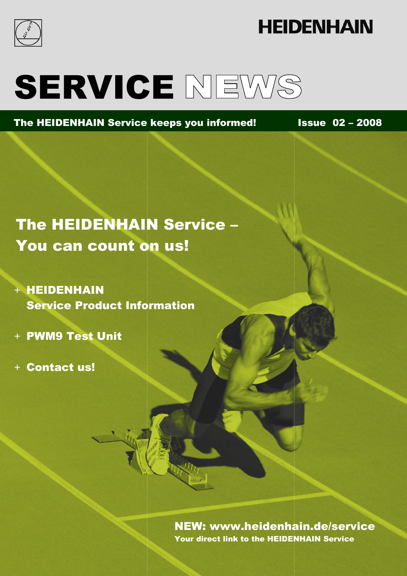

# **HEIDENHAIN**

# SERVICE NEWS

The HEIDENHAIN Service keeps you informed! Issue 02 – 2008

The HEIDENHAIN Service – You can count on us!

+ HEIDENHAIN Service Product Information

+ PWM9 Test Unit

+ Contact us!

NEW: www.heidenhain.de/service NEW: www.heidenhain.de/serviceYour direct link to the HEIDENHAIN Service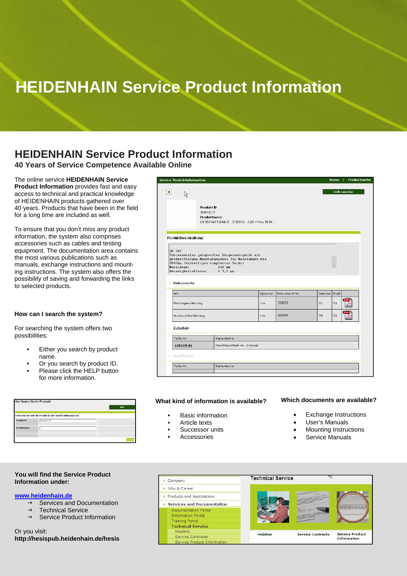# **HEIDENHAIN Service Product Information**

### **HEIDENHAIN Service Product Information**

**40 Years of Service Competence Available Online**

### The online service **HEIDENHAIN Service Product Information** provides fast and easy access to technical and practical knowledge of HEIDENHAIN products gathered over 40 years. Products that have been in the field for a long time are included as well.

To ensure that you don't miss any product information, the system also comprises accessories such as cables and testing equipment. The documentation area contains the most various publications such as manuals, exchange instructions and mounting instructions. The system also offers the possibility of saving and forwarding the links to selected products.

### **How can I search the system?**

For searching the system offers two possibilities:

- **•** Either you search by product name.
- **•** Or you search by product ID.
- **•** Please click the HELP button for more information.

| <b>Hier finden Sie Ihr Produkt</b> |                                                               | Hilfe |
|------------------------------------|---------------------------------------------------------------|-------|
|                                    | Geben Sie hier bitte die Produkt ID oder den Produktnamen ein |       |
| Produkt ID                         | 315416-17                                                     |       |
| Produktname                        |                                                               |       |
|                                    |                                                               |       |

### **You will find the Service Product Information under:**

### **www.heidenhain.de**

- $\rightarrow$  Services and Documentation
- $\rightarrow$  Technical Service
- $\rightarrow$  Service Product Information

Or you visit: **http://hesispub.heidenhain.de/hesis**

| 以                                                            |                                        |                                                                                                     |         |              |               | Link senden |             |
|--------------------------------------------------------------|----------------------------------------|-----------------------------------------------------------------------------------------------------|---------|--------------|---------------|-------------|-------------|
|                                                              | Produkt ID<br>315416-17<br>Produktname | LB 382 840 5,0 ML/2  S 52S12  0,00 ~1 Vss 39 01                                                     |         |              |               |             |             |
| Produktbeschreibung                                          |                                        |                                                                                                     |         |              |               |             |             |
| Messlänge:                                                   |                                        | großprofiligem Maßstabgehäuse für Messlängen bis<br>3040mm (einteiliges komplettes Gerät)<br>840 mm |         |              |               |             |             |
|                                                              |                                        |                                                                                                     |         |              |               |             |             |
| Genauigkeitsklasse: ± 5,0 µm<br><b>Dokumente</b><br>ż<br>Art |                                        |                                                                                                     | Sprache | Dokument-Nr. | Version Blatt |             |             |
| Montageanleitung                                             |                                        |                                                                                                     | rou:    | 324262       | 01            | 01          | PD          |
| Austauschanleitung                                           |                                        |                                                                                                     | mu      | 349444       | 00            | 01          | PDF<br>Adob |
| Zubehör                                                      |                                        |                                                                                                     |         |              |               |             |             |
| Teile-Nr.                                                    |                                        | Teile-Name                                                                                          |         |              |               |             |             |
| 226270-02                                                    |                                        | Anschlussstück m. Drossel                                                                           |         |              |               |             |             |
| Nachfolger                                                   |                                        |                                                                                                     |         |              |               |             |             |

#### **What kind of information is available?**

- **•** Basic information
- **•** Article texts
- **•** Successor units
- **•** Accessories

### **Which documents are available?**

- Exchange Instructions
	- User's Manuals
	- Mounting Instructions
	- Service Manuals
- **Technical Service** + Company  $+$  Jobs & Career + Products and Applications + Services and Documentation EIDENHAL ocumentation Porta **Information Portal Training Portal Technical Service** Helpline Helpline **Service Product Service Contracts** Service Contracts **Information** Service Product Informatio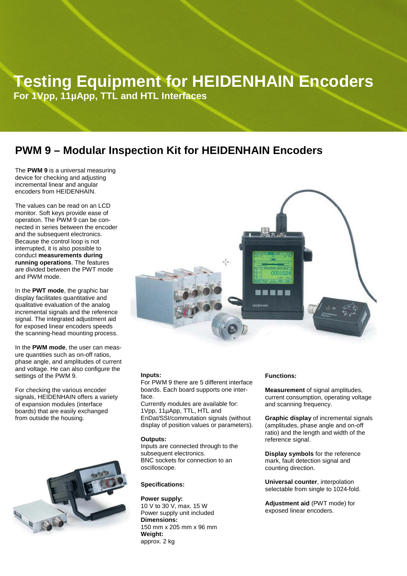## **Testing Equipment for HEIDENHAIN Encoders**

**For 1Vpp, 11µApp, TTL and HTL Interfaces**

### **PWM 9 – Modular Inspection Kit for HEIDENHAIN Encoders**

The **PWM 9** is a universal measuring device for checking and adjusting incremental linear and angular encoders from HEIDENHAIN.

The values can be read on an LCD monitor. Soft keys provide ease of operation. The PWM 9 can be connected in series between the encoder and the subsequent electronics. Because the control loop is not interrupted, it is also possible to conduct **measurements during running operations**. The features are divided between the PWT mode and PWM mode.

In the **PWT mode**, the graphic bar display facilitates quantitative and qualitative evaluation of the analog incremental signals and the reference signal. The integrated adjustment aid for exposed linear encoders speeds the scanning-head mounting process.

In the **PWM mode**, the user can measure quantities such as on-off ratios, phase angle, and amplitudes of current and voltage. He can also configure the settings of the PWM 9.

For checking the various encoder signals, HEIDENHAIN offers a variety of expansion modules (interface boards) that are easily exchanged from outside the housing.





### **Inputs:**

For PWM 9 there are 5 different interface boards. Each board supports one interface.

Currently modules are available for: 1Vpp, 11µApp, TTL, HTL and EnDat/SSI/commutation signals (without display of position values or parameters).

#### **Outputs:**

Inputs are connected through to the subsequent electronics. BNC sockets for connection to an oscilloscope.

### **Specifications:**

**Power supply:** 10 V to 30 V, max. 15 W Power supply unit included **Dimensions:** 150 mm x 205 mm x 96 mm **Weight:** approx. 2 kg

### **Functions:**

**Measurement** of signal amplitudes, current consumption, operating voltage and scanning frequency.

**Graphic display** of incremental signals (amplitudes, phase angle and on-off ratio) and the length and width of the reference signal.

**Display symbols** for the reference mark, fault detection signal and counting direction.

**Universal counter**, interpolation selectable from single to 1024-fold.

**Adjustment aid** (PWT mode) for exposed linear encoders.